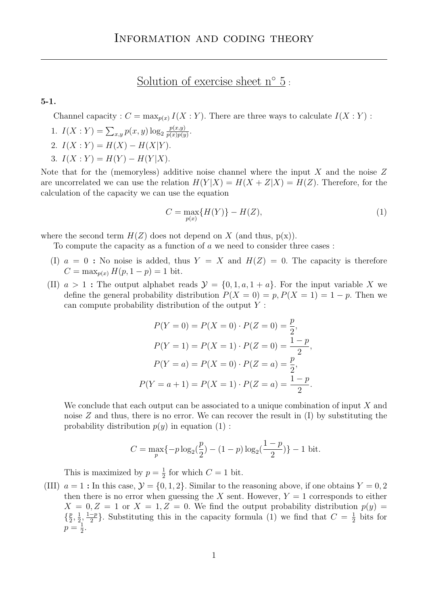## Solution of exercise sheet n<sup>°</sup> 5:

## 5-1.

Channel capacity :  $C = \max_{p(x)} I(X:Y)$ . There are three ways to calculate  $I(X:Y)$ :

- 1.  $I(X:Y) = \sum_{x,y} p(x,y) \log_2 \frac{p(x,y)}{p(x)p(y)}$  $\frac{p(x,y)}{p(x)p(y)}$ .
- 2.  $I(X:Y) = H(X) H(X|Y)$ .
- 3.  $I(X:Y) = H(Y) H(Y|X)$ .

Note that for the (memoryless) additive noise channel where the input  $X$  and the noise  $Z$ are uncorrelated we can use the relation  $H(Y|X) = H(X + Z|X) = H(Z)$ . Therefore, for the calculation of the capacity we can use the equation

$$
C = \max_{p(x)} \{ H(Y) \} - H(Z), \tag{1}
$$

where the second term  $H(Z)$  does not depend on X (and thus,  $p(x)$ ).

To compute the capacity as a function of a we need to consider three cases :

- (I)  $a = 0$ : No noise is added, thus  $Y = X$  and  $H(Z) = 0$ . The capacity is therefore  $C = \max_{p(x)} H(p, 1-p) = 1$  bit.
- (II)  $a > 1$ : The output alphabet reads  $\mathcal{Y} = \{0, 1, a, 1 + a\}$ . For the input variable X we define the general probability distribution  $P(X = 0) = p$ ,  $P(X = 1) = 1 - p$ . Then we can compute probability distribution of the output Y :

$$
P(Y = 0) = P(X = 0) \cdot P(Z = 0) = \frac{p}{2},
$$
  
\n
$$
P(Y = 1) = P(X = 1) \cdot P(Z = 0) = \frac{1 - p}{2},
$$
  
\n
$$
P(Y = a) = P(X = 0) \cdot P(Z = a) = \frac{p}{2},
$$
  
\n
$$
P(Y = a + 1) = P(X = 1) \cdot P(Z = a) = \frac{1 - p}{2}.
$$

We conclude that each output can be associated to a unique combination of input  $X$  and noise  $Z$  and thus, there is no error. We can recover the result in  $(I)$  by substituting the probability distribution  $p(y)$  in equation (1):

$$
C = \max_{p} \{-p \log_2(\frac{p}{2}) - (1-p) \log_2(\frac{1-p}{2})\} - 1 \text{ bit.}
$$

This is maximized by  $p=\frac{1}{2}$  $\frac{1}{2}$  for which  $C = 1$  bit.

(III)  $a = 1$ : In this case,  $\mathcal{Y} = \{0, 1, 2\}$ . Similar to the reasoning above, if one obtains  $Y = 0, 2$ then there is no error when guessing the X sent. However,  $Y = 1$  corresponds to either  $X = 0, Z = 1$  or  $X = 1, Z = 0$ . We find the output probability distribution  $p(y) =$  $\left\{\frac{p}{2}\right\}$  $\frac{p}{2}, \frac{1}{2}$  $\frac{1}{2}, \frac{1-p}{2}$  $\frac{-p}{2}$ . Substituting this in the capacity formula (1) we find that  $C = \frac{1}{2}$  $rac{1}{2}$  bits for  $p=\frac{1}{2}$  $\frac{1}{2}$ .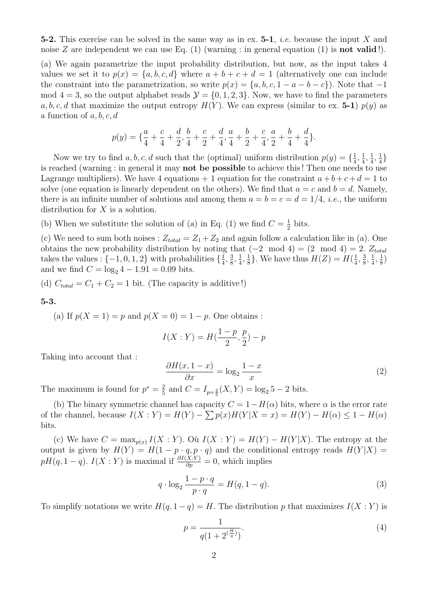**5-2.** This exercise can be solved in the same way as in ex. **5-1**, *i.e.* because the input X and noise Z are independent we can use Eq.  $(1)$  (warning : in general equation  $(1)$  is **not valid**!).

(a) We again parametrize the input probability distribution, but now, as the input takes 4 values we set it to  $p(x) = \{a, b, c, d\}$  where  $a + b + c + d = 1$  (alternatively one can include the constraint into the parametrization, so write  $p(x) = \{a, b, c, 1 - a - b - c\}$ . Note that  $-1$ mod  $4 = 3$ , so the output alphabet reads  $\mathcal{Y} = \{0, 1, 2, 3\}$ . Now, we have to find the parameters a, b, c, d that maximize the output entropy  $H(Y)$ . We can express (similar to ex. 5-1)  $p(y)$  as a function of  $a, b, c, d$ 

$$
p(y) = \{ \frac{a}{4} + \frac{c}{4} + \frac{d}{2}, \frac{b}{4} + \frac{c}{2} + \frac{d}{4}, \frac{a}{4} + \frac{b}{2} + \frac{c}{4}, \frac{a}{2} + \frac{b}{4} + \frac{d}{4} \}.
$$

Now we try to find a, b, c, d such that the (optimal) uniform distribution  $p(y) = \{\frac{1}{4}$  $\frac{1}{4}, \frac{1}{4}$  $\frac{1}{4}, \frac{1}{4}$  $\frac{1}{4}, \frac{1}{4}$  $\frac{1}{4}$ is reached (warning : in general it may not be possible to achieve this ! Then one needs to use Lagrange multipliers). We have 4 equations  $+1$  equation for the constraint  $a+b+c+d=1$  to solve (one equation is linearly dependent on the others). We find that  $a = c$  and  $b = d$ . Namely, there is an infinite number of solutions and among them  $a = b = c = d = 1/4$ , *i.e.*, the uniform distribution for X is a solution.

(b) When we substitute the solution of (a) in Eq. (1) we find  $C = \frac{1}{2}$  $rac{1}{2}$  bits.

(c) We need to sum both noises :  $Z_{total} = Z_1 + Z_2$  and again follow a calculation like in (a). One obtains the new probability distribution by noting that  $(-2 \mod 4) = (2 \mod 4) = 2$ .  $Z_{total}$ takes the values :  $\{-1, 0, 1, 2\}$  with probabilities  $\{\frac{1}{4}, \frac{1}{4}, \frac{1}{4}\}$  $\frac{1}{4}$ ,  $\frac{3}{8}$  $\frac{3}{8}, \frac{1}{4}$  $\frac{1}{4}, \frac{1}{8}$  $\frac{1}{8}$ . We have thus  $H(Z) = H(\frac{1}{4})$  $\frac{1}{4}, \frac{3}{8}$  $\frac{3}{8}, \frac{1}{4}$  $\frac{1}{4}, \frac{1}{8}$  $\frac{1}{8}$ and we find  $C = \log_2 4 - 1.91 = 0.09$  bits.

(d)  $C_{total} = C_1 + C_2 = 1$  bit. (The capacity is additive!)

5-3.

(a) If  $p(X = 1) = p$  and  $p(X = 0) = 1 - p$ . One obtains :

$$
I(X:Y) = H(\frac{1-p}{2}, \frac{p}{2}) - p
$$

Taking into account that :

$$
\frac{\partial H(x, 1-x)}{\partial x} = \log_2 \frac{1-x}{x} \tag{2}
$$

The maximum is found for  $p^* = \frac{2}{5}$  $\frac{2}{5}$  and  $C = I_{p=\frac{2}{5}}(X, Y) = \log_2 5 - 2$  bits.

(b) The binary symmetric channel has capacity  $C = 1 - H(\alpha)$  bits, where  $\alpha$  is the error rate of the channel, because  $I(X:Y) = H(Y) - \sum p(x)H(Y|X=x) = H(Y) - H(\alpha) \leq 1 - H(\alpha)$ bits.

(c) We have  $C = \max_{p(x)} I(X:Y)$ . Où  $I(X:Y) = H(Y) - H(Y|X)$ . The entropy at the output is given by  $H(Y) = H(1 - p \cdot q, p \cdot q)$  and the conditional entropy reads  $H(Y|X) =$  $pH(q, 1-q)$ .  $I(X:Y)$  is maximal if  $\frac{\partial I(X:Y)}{\partial p} = 0$ , which implies

$$
q \cdot \log_2 \frac{1 - p \cdot q}{p \cdot q} = H(q, 1 - q). \tag{3}
$$

To simplify notations we write  $H(q, 1 - q) = H$ . The distribution p that maximizes  $I(X : Y)$  is

$$
p = \frac{1}{q(1 + 2^{\left(\frac{H}{q}\right)})}.\tag{4}
$$